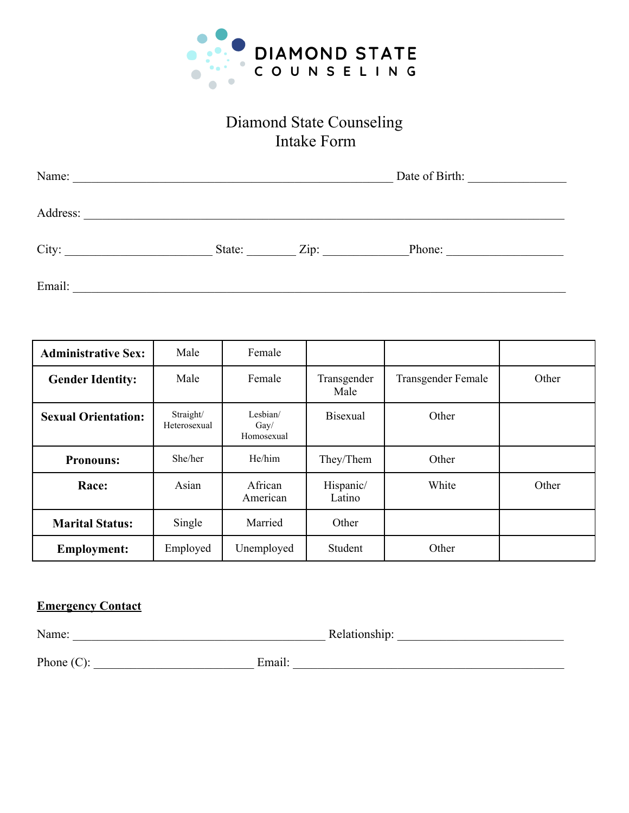

# Diamond State Counseling Intake Form

| Name:    | Date of Birth: |      |        |  |
|----------|----------------|------|--------|--|
| Address: |                |      |        |  |
| City:    | State:         | Zip: | Phone: |  |
| Email:   |                |      |        |  |

| <b>Administrative Sex:</b> | Male                      | Female                                  |                     |                           |       |
|----------------------------|---------------------------|-----------------------------------------|---------------------|---------------------------|-------|
| <b>Gender Identity:</b>    | Male                      | Female                                  | Transgender<br>Male | <b>Transgender Female</b> | Other |
| <b>Sexual Orientation:</b> | Straight/<br>Heterosexual | Lesbian/<br>$\text{Gay}/$<br>Homosexual | <b>Bisexual</b>     | Other                     |       |
| <b>Pronouns:</b>           | She/her                   | He/him                                  | They/Them           | Other                     |       |
| Race:                      | Asian                     | African<br>American                     | Hispanic/<br>Latino | White                     | Other |
| <b>Marital Status:</b>     | Single                    | Married                                 | Other               |                           |       |
| <b>Employment:</b>         | Employed                  | Unemployed                              | Student             | Other                     |       |

## **Emergency Contact**

Name: \_\_\_\_\_\_\_\_\_\_\_\_\_\_\_\_\_\_\_\_\_\_\_\_\_\_\_\_\_\_\_\_\_\_\_\_\_\_\_\_\_ Relationship: \_\_\_\_\_\_\_\_\_\_\_\_\_\_\_\_\_\_\_\_\_\_\_\_\_\_\_

Phone (C): \_\_\_\_\_\_\_\_\_\_\_\_\_\_\_\_\_\_\_\_\_\_\_\_\_\_ Email: \_\_\_\_\_\_\_\_\_\_\_\_\_\_\_\_\_\_\_\_\_\_\_\_\_\_\_\_\_\_\_\_\_\_\_\_\_\_\_\_\_\_\_\_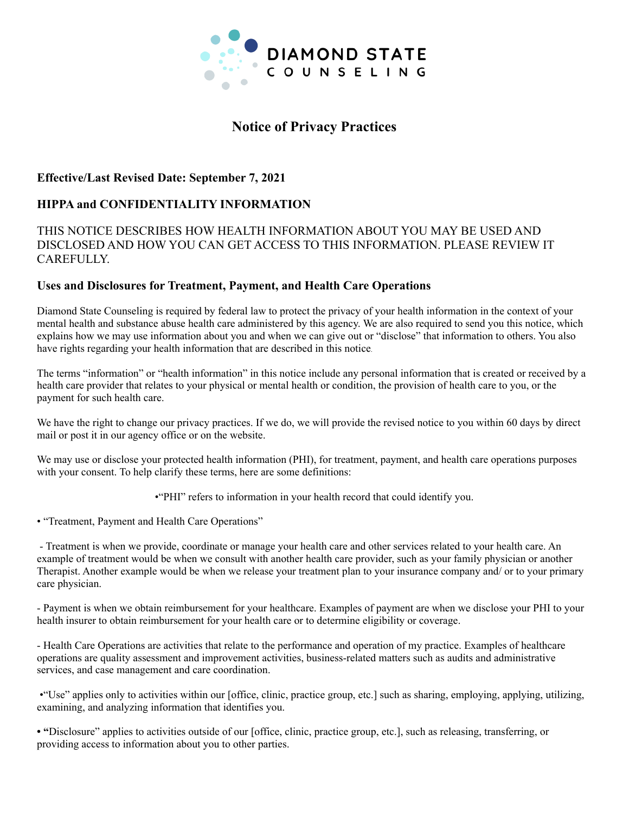

# **Notice of Privacy Practices**

#### **Effective/Last Revised Date: September 7, 2021**

## **HIPPA and CONFIDENTIALITY INFORMATION**

#### THIS NOTICE DESCRIBES HOW HEALTH INFORMATION ABOUT YOU MAY BE USED AND DISCLOSED AND HOW YOU CAN GET ACCESS TO THIS INFORMATION. PLEASE REVIEW IT CAREFULLY.

#### **Uses and Disclosures for Treatment, Payment, and Health Care Operations**

Diamond State Counseling is required by federal law to protect the privacy of your health information in the context of your mental health and substance abuse health care administered by this agency. We are also required to send you this notice, which explains how we may use information about you and when we can give out or "disclose" that information to others. You also have rights regarding your health information that are described in this notice.

The terms "information" or "health information" in this notice include any personal information that is created or received by a health care provider that relates to your physical or mental health or condition, the provision of health care to you, or the payment for such health care.

We have the right to change our privacy practices. If we do, we will provide the revised notice to you within 60 days by direct mail or post it in our agency office or on the website.

We may use or disclose your protected health information (PHI), for treatment, payment, and health care operations purposes with your consent. To help clarify these terms, here are some definitions:

•"PHI" refers to information in your health record that could identify you.

• "Treatment, Payment and Health Care Operations"

- Treatment is when we provide, coordinate or manage your health care and other services related to your health care. An example of treatment would be when we consult with another health care provider, such as your family physician or another Therapist. Another example would be when we release your treatment plan to your insurance company and/ or to your primary care physician.

- Payment is when we obtain reimbursement for your healthcare. Examples of payment are when we disclose your PHI to your health insurer to obtain reimbursement for your health care or to determine eligibility or coverage.

- Health Care Operations are activities that relate to the performance and operation of my practice. Examples of healthcare operations are quality assessment and improvement activities, business-related matters such as audits and administrative services, and case management and care coordination.

•"Use" applies only to activities within our [office, clinic, practice group, etc.] such as sharing, employing, applying, utilizing, examining, and analyzing information that identifies you.

**• "**Disclosure" applies to activities outside of our [office, clinic, practice group, etc.], such as releasing, transferring, or providing access to information about you to other parties.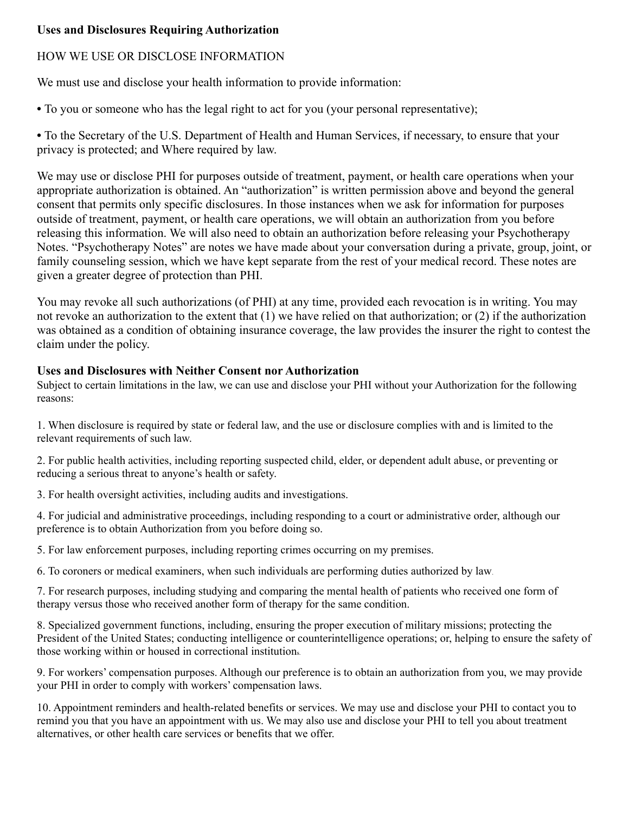#### **Uses and Disclosures Requiring Authorization**

## HOW WE USE OR DISCLOSE INFORMATION

We must use and disclose your health information to provide information:

• To you or someone who has the legal right to act for you (your personal representative);

**•** To the Secretary of the U.S. Department of Health and Human Services, if necessary, to ensure that your privacy is protected; and Where required by law.

We may use or disclose PHI for purposes outside of treatment, payment, or health care operations when your appropriate authorization is obtained. An "authorization" is written permission above and beyond the general consent that permits only specific disclosures. In those instances when we ask for information for purposes outside of treatment, payment, or health care operations, we will obtain an authorization from you before releasing this information. We will also need to obtain an authorization before releasing your Psychotherapy Notes. "Psychotherapy Notes" are notes we have made about your conversation during a private, group, joint, or family counseling session, which we have kept separate from the rest of your medical record. These notes are given a greater degree of protection than PHI.

You may revoke all such authorizations (of PHI) at any time, provided each revocation is in writing. You may not revoke an authorization to the extent that (1) we have relied on that authorization; or (2) if the authorization was obtained as a condition of obtaining insurance coverage, the law provides the insurer the right to contest the claim under the policy.

#### **Uses and Disclosures with Neither Consent nor Authorization**

Subject to certain limitations in the law, we can use and disclose your PHI without your Authorization for the following reasons:

1. When disclosure is required by state or federal law, and the use or disclosure complies with and is limited to the relevant requirements of such law.

2. For public health activities, including reporting suspected child, elder, or dependent adult abuse, or preventing or reducing a serious threat to anyone's health or safety.

3. For health oversight activities, including audits and investigations.

4. For judicial and administrative proceedings, including responding to a court or administrative order, although our preference is to obtain Authorization from you before doing so.

5. For law enforcement purposes, including reporting crimes occurring on my premises.

6. To coroners or medical examiners, when such individuals are performing duties authorized by law.

7. For research purposes, including studying and comparing the mental health of patients who received one form of therapy versus those who received another form of therapy for the same condition.

8. Specialized government functions, including, ensuring the proper execution of military missions; protecting the President of the United States; conducting intelligence or counterintelligence operations; or, helping to ensure the safety of those working within or housed in correctional institutions.

9. For workers' compensation purposes. Although our preference is to obtain an authorization from you, we may provide your PHI in order to comply with workers' compensation laws.

10. Appointment reminders and health-related benefits or services. We may use and disclose your PHI to contact you to remind you that you have an appointment with us. We may also use and disclose your PHI to tell you about treatment alternatives, or other health care services or benefits that we offer.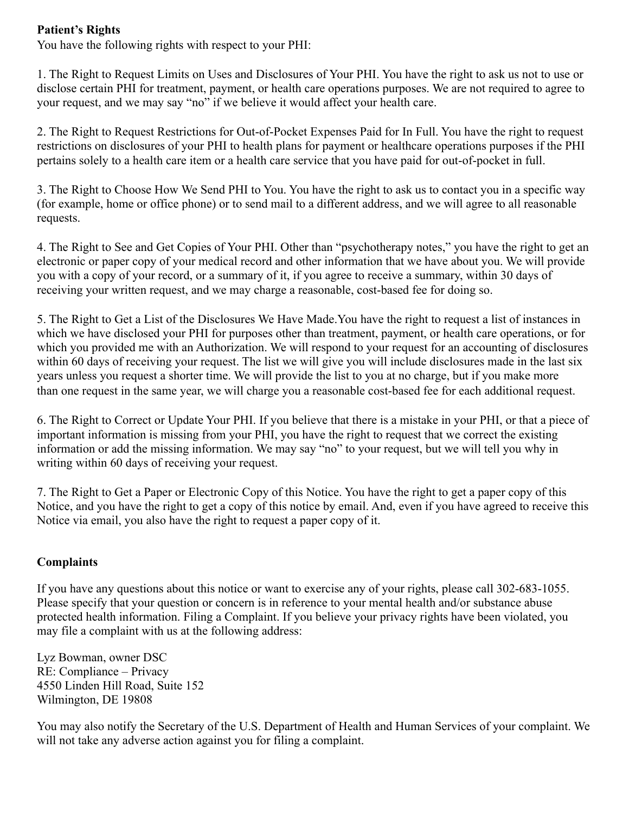## **Patient's Rights**

You have the following rights with respect to your PHI:

1. The Right to Request Limits on Uses and Disclosures of Your PHI. You have the right to ask us not to use or disclose certain PHI for treatment, payment, or health care operations purposes. We are not required to agree to your request, and we may say "no" if we believe it would affect your health care.

2. The Right to Request Restrictions for Out-of-Pocket Expenses Paid for In Full. You have the right to request restrictions on disclosures of your PHI to health plans for payment or healthcare operations purposes if the PHI pertains solely to a health care item or a health care service that you have paid for out-of-pocket in full.

3. The Right to Choose How We Send PHI to You. You have the right to ask us to contact you in a specific way (for example, home or office phone) or to send mail to a different address, and we will agree to all reasonable requests.

4. The Right to See and Get Copies of Your PHI. Other than "psychotherapy notes," you have the right to get an electronic or paper copy of your medical record and other information that we have about you. We will provide you with a copy of your record, or a summary of it, if you agree to receive a summary, within 30 days of receiving your written request, and we may charge a reasonable, cost-based fee for doing so.

5. The Right to Get a List of the Disclosures We Have Made.You have the right to request a list of instances in which we have disclosed your PHI for purposes other than treatment, payment, or health care operations, or for which you provided me with an Authorization. We will respond to your request for an accounting of disclosures within 60 days of receiving your request. The list we will give you will include disclosures made in the last six years unless you request a shorter time. We will provide the list to you at no charge, but if you make more than one request in the same year, we will charge you a reasonable cost-based fee for each additional request.

6. The Right to Correct or Update Your PHI. If you believe that there is a mistake in your PHI, or that a piece of important information is missing from your PHI, you have the right to request that we correct the existing information or add the missing information. We may say "no" to your request, but we will tell you why in writing within 60 days of receiving your request.

7. The Right to Get a Paper or Electronic Copy of this Notice. You have the right to get a paper copy of this Notice, and you have the right to get a copy of this notice by email. And, even if you have agreed to receive this Notice via email, you also have the right to request a paper copy of it.

## **Complaints**

If you have any questions about this notice or want to exercise any of your rights, please call 302-683-1055. Please specify that your question or concern is in reference to your mental health and/or substance abuse protected health information. Filing a Complaint. If you believe your privacy rights have been violated, you may file a complaint with us at the following address:

Lyz Bowman, owner DSC RE: Compliance – Privacy 4550 Linden Hill Road, Suite 152 Wilmington, DE 19808

You may also notify the Secretary of the U.S. Department of Health and Human Services of your complaint. We will not take any adverse action against you for filing a complaint.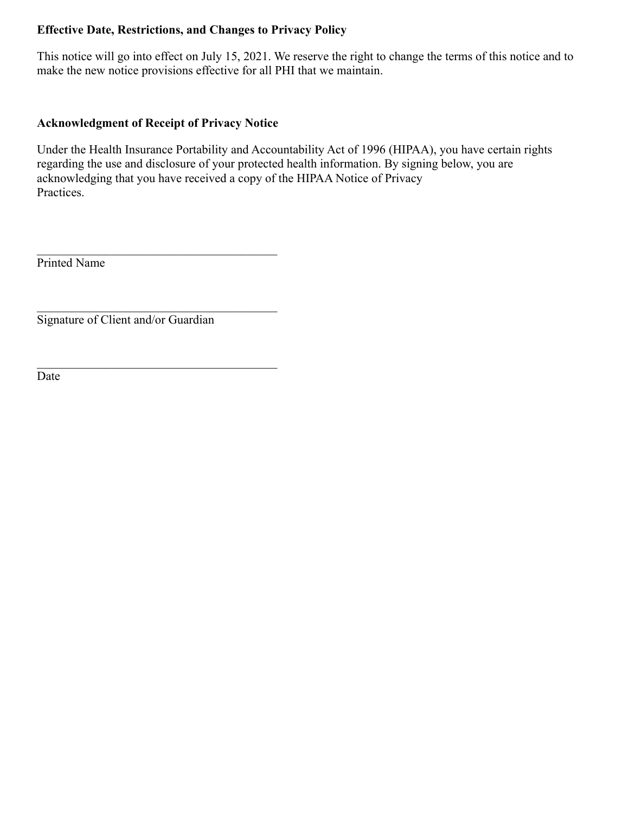## **Effective Date, Restrictions, and Changes to Privacy Policy**

This notice will go into effect on July 15, 2021. We reserve the right to change the terms of this notice and to make the new notice provisions effective for all PHI that we maintain.

## **Acknowledgment of Receipt of Privacy Notice**

 $\mathcal{L}_\text{max}$  , and the set of the set of the set of the set of the set of the set of the set of the set of the set of the set of the set of the set of the set of the set of the set of the set of the set of the set of the

 $\mathcal{L}_\text{max}$  , and the set of the set of the set of the set of the set of the set of the set of the set of the set of the set of the set of the set of the set of the set of the set of the set of the set of the set of the

 $\mathcal{L}_\text{max}$ 

Under the Health Insurance Portability and Accountability Act of 1996 (HIPAA), you have certain rights regarding the use and disclosure of your protected health information. By signing below, you are acknowledging that you have received a copy of the HIPAA Notice of Privacy Practices.

Printed Name

Signature of Client and/or Guardian

Date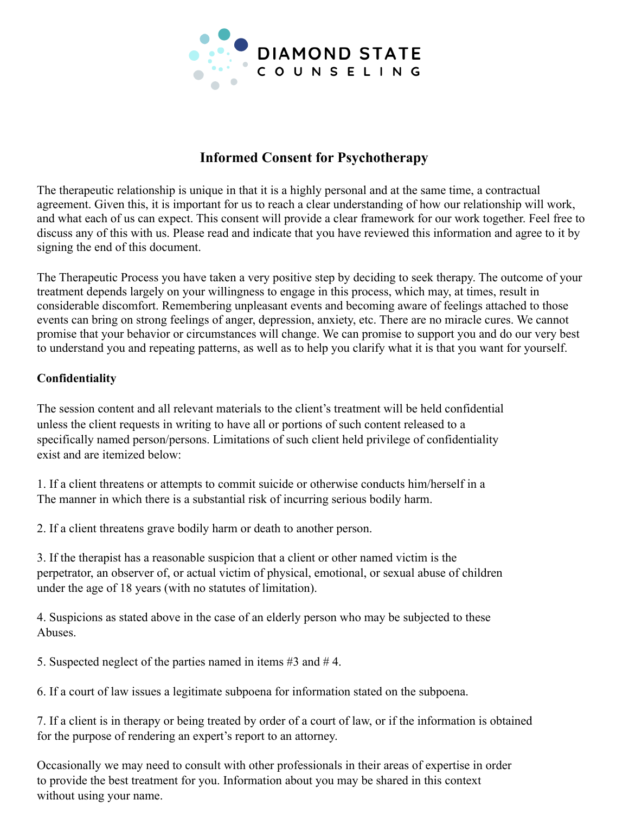

# **Informed Consent for Psychotherapy**

The therapeutic relationship is unique in that it is a highly personal and at the same time, a contractual agreement. Given this, it is important for us to reach a clear understanding of how our relationship will work, and what each of us can expect. This consent will provide a clear framework for our work together. Feel free to discuss any of this with us. Please read and indicate that you have reviewed this information and agree to it by signing the end of this document.

The Therapeutic Process you have taken a very positive step by deciding to seek therapy. The outcome of your treatment depends largely on your willingness to engage in this process, which may, at times, result in considerable discomfort. Remembering unpleasant events and becoming aware of feelings attached to those events can bring on strong feelings of anger, depression, anxiety, etc. There are no miracle cures. We cannot promise that your behavior or circumstances will change. We can promise to support you and do our very best to understand you and repeating patterns, as well as to help you clarify what it is that you want for yourself.

#### **Confidentiality**

The session content and all relevant materials to the client's treatment will be held confidential unless the client requests in writing to have all or portions of such content released to a specifically named person/persons. Limitations of such client held privilege of confidentiality exist and are itemized below:

1. If a client threatens or attempts to commit suicide or otherwise conducts him/herself in a The manner in which there is a substantial risk of incurring serious bodily harm.

2. If a client threatens grave bodily harm or death to another person.

3. If the therapist has a reasonable suspicion that a client or other named victim is the perpetrator, an observer of, or actual victim of physical, emotional, or sexual abuse of children under the age of 18 years (with no statutes of limitation).

4. Suspicions as stated above in the case of an elderly person who may be subjected to these Abuses.

5. Suspected neglect of the parties named in items #3 and # 4.

6. If a court of law issues a legitimate subpoena for information stated on the subpoena.

7. If a client is in therapy or being treated by order of a court of law, or if the information is obtained for the purpose of rendering an expert's report to an attorney.

Occasionally we may need to consult with other professionals in their areas of expertise in order to provide the best treatment for you. Information about you may be shared in this context without using your name.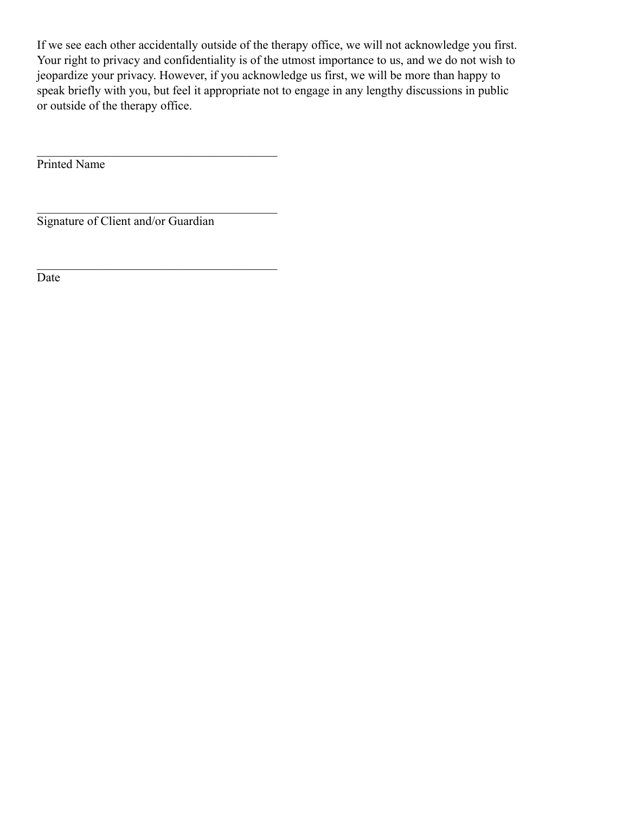If we see each other accidentally outside of the therapy office, we will not acknowledge you first. Your right to privacy and confidentiality is of the utmost importance to us, and we do not wish to jeopardize your privacy. However, if you acknowledge us first, we will be more than happy to speak briefly with you, but feel it appropriate not to engage in any lengthy discussions in public or outside of the therapy office.

Printed Name

Signature of Client and/or Guardian

 $\mathcal{L}_\text{max}$ 

 $\mathcal{L}_\text{max}$  , and the set of the set of the set of the set of the set of the set of the set of the set of the set of the set of the set of the set of the set of the set of the set of the set of the set of the set of the

 $\mathcal{L}_\text{max}$  , and the set of the set of the set of the set of the set of the set of the set of the set of the set of the set of the set of the set of the set of the set of the set of the set of the set of the set of the

Date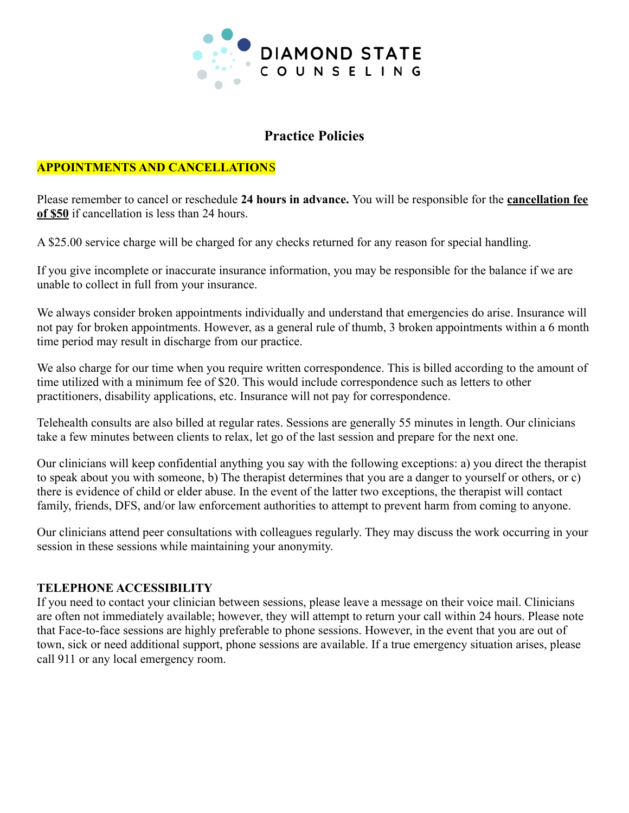

# **Practice Policies**

#### **APPOINTMENTS AND CANCELLATION**S

Please remember to cancel or reschedule **24 hours in advance.** You will be responsible for the **cancellation fee of \$50** if cancellation is less than 24 hours.

A \$25.00 service charge will be charged for any checks returned for any reason for special handling.

If you give incomplete or inaccurate insurance information, you may be responsible for the balance if we are unable to collect in full from your insurance.

We always consider broken appointments individually and understand that emergencies do arise. Insurance will not pay for broken appointments. However, as a general rule of thumb, 3 broken appointments within a 6 month time period may result in discharge from our practice.

We also charge for our time when you require written correspondence. This is billed according to the amount of time utilized with a minimum fee of \$20. This would include correspondence such as letters to other practitioners, disability applications, etc. Insurance will not pay for correspondence.

Telehealth consults are also billed at regular rates. Sessions are generally 55 minutes in length. Our clinicians take a few minutes between clients to relax, let go of the last session and prepare for the next one.

Our clinicians will keep confidential anything you say with the following exceptions: a) you direct the therapist to speak about you with someone, b) The therapist determines that you are a danger to yourself or others, or c) there is evidence of child or elder abuse. In the event of the latter two exceptions, the therapist will contact family, friends, DFS, and/or law enforcement authorities to attempt to prevent harm from coming to anyone.

Our clinicians attend peer consultations with colleagues regularly. They may discuss the work occurring in your session in these sessions while maintaining your anonymity.

#### **TELEPHONE ACCESSIBILITY**

If you need to contact your clinician between sessions, please leave a message on their voice mail. Clinicians are often not immediately available; however, they will attempt to return your call within 24 hours. Please note that Face-to-face sessions are highly preferable to phone sessions. However, in the event that you are out of town, sick or need additional support, phone sessions are available. If a true emergency situation arises, please call 911 or any local emergency room.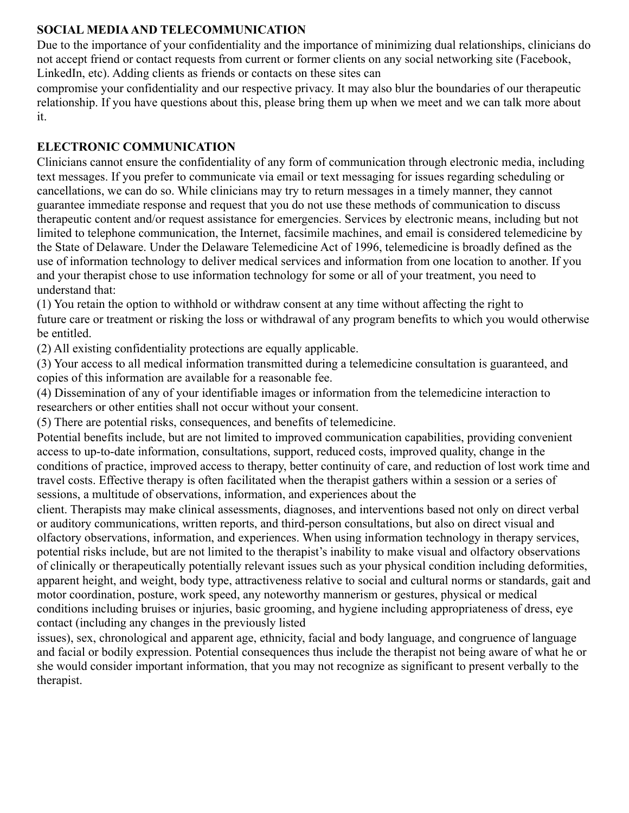## **SOCIAL MEDIAAND TELECOMMUNICATION**

Due to the importance of your confidentiality and the importance of minimizing dual relationships, clinicians do not accept friend or contact requests from current or former clients on any social networking site (Facebook, LinkedIn, etc). Adding clients as friends or contacts on these sites can

compromise your confidentiality and our respective privacy. It may also blur the boundaries of our therapeutic relationship. If you have questions about this, please bring them up when we meet and we can talk more about it.

# **ELECTRONIC COMMUNICATION**

Clinicians cannot ensure the confidentiality of any form of communication through electronic media, including text messages. If you prefer to communicate via email or text messaging for issues regarding scheduling or cancellations, we can do so. While clinicians may try to return messages in a timely manner, they cannot guarantee immediate response and request that you do not use these methods of communication to discuss therapeutic content and/or request assistance for emergencies. Services by electronic means, including but not limited to telephone communication, the Internet, facsimile machines, and email is considered telemedicine by the State of Delaware. Under the Delaware Telemedicine Act of 1996, telemedicine is broadly defined as the use of information technology to deliver medical services and information from one location to another. If you and your therapist chose to use information technology for some or all of your treatment, you need to understand that:

(1) You retain the option to withhold or withdraw consent at any time without affecting the right to future care or treatment or risking the loss or withdrawal of any program benefits to which you would otherwise be entitled.

(2) All existing confidentiality protections are equally applicable.

(3) Your access to all medical information transmitted during a telemedicine consultation is guaranteed, and copies of this information are available for a reasonable fee.

(4) Dissemination of any of your identifiable images or information from the telemedicine interaction to researchers or other entities shall not occur without your consent.

(5) There are potential risks, consequences, and benefits of telemedicine.

Potential benefits include, but are not limited to improved communication capabilities, providing convenient access to up-to-date information, consultations, support, reduced costs, improved quality, change in the conditions of practice, improved access to therapy, better continuity of care, and reduction of lost work time and travel costs. Effective therapy is often facilitated when the therapist gathers within a session or a series of sessions, a multitude of observations, information, and experiences about the

client. Therapists may make clinical assessments, diagnoses, and interventions based not only on direct verbal or auditory communications, written reports, and third-person consultations, but also on direct visual and olfactory observations, information, and experiences. When using information technology in therapy services, potential risks include, but are not limited to the therapist's inability to make visual and olfactory observations of clinically or therapeutically potentially relevant issues such as your physical condition including deformities, apparent height, and weight, body type, attractiveness relative to social and cultural norms or standards, gait and motor coordination, posture, work speed, any noteworthy mannerism or gestures, physical or medical conditions including bruises or injuries, basic grooming, and hygiene including appropriateness of dress, eye contact (including any changes in the previously listed

issues), sex, chronological and apparent age, ethnicity, facial and body language, and congruence of language and facial or bodily expression. Potential consequences thus include the therapist not being aware of what he or she would consider important information, that you may not recognize as significant to present verbally to the therapist.